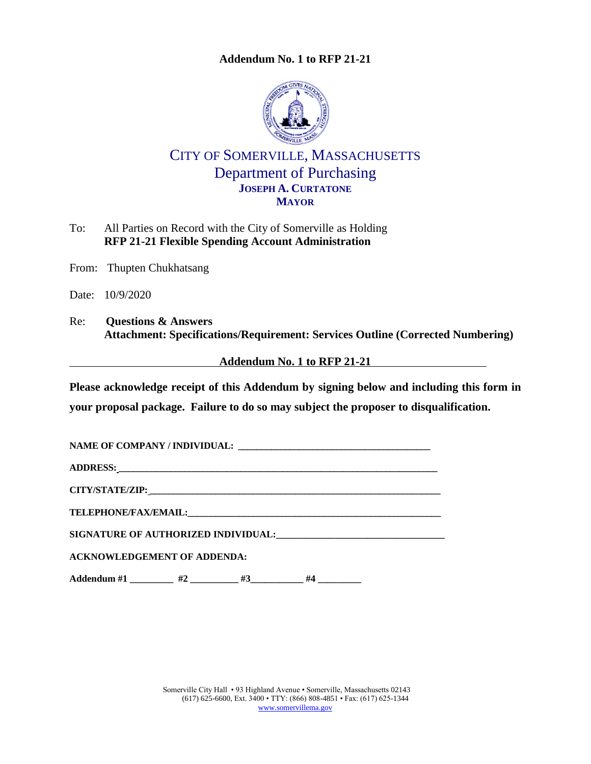

# CITY OF SOMERVILLE, MASSACHUSETTS Department of Purchasing **JOSEPH A. CURTATONE MAYOR**

- To: All Parties on Record with the City of Somerville as Holding **RFP 21-21 Flexible Spending Account Administration**
- From: Thupten Chukhatsang
- Date: 10/9/2020
- Re: **Questions & Answers Attachment: Specifications/Requirement: Services Outline (Corrected Numbering)**

## **Addendum No. 1 to RFP 21-21**

**Please acknowledge receipt of this Addendum by signing below and including this form in your proposal package. Failure to do so may subject the proposer to disqualification.**

| <b>ACKNOWLEDGEMENT OF ADDENDA:</b> |
|------------------------------------|
|                                    |

**Addendum #1 \_\_\_\_\_\_\_\_\_ #2 \_\_\_\_\_\_\_\_\_\_ #3\_\_\_\_\_\_\_\_\_\_\_ #4 \_\_\_\_\_\_\_\_\_**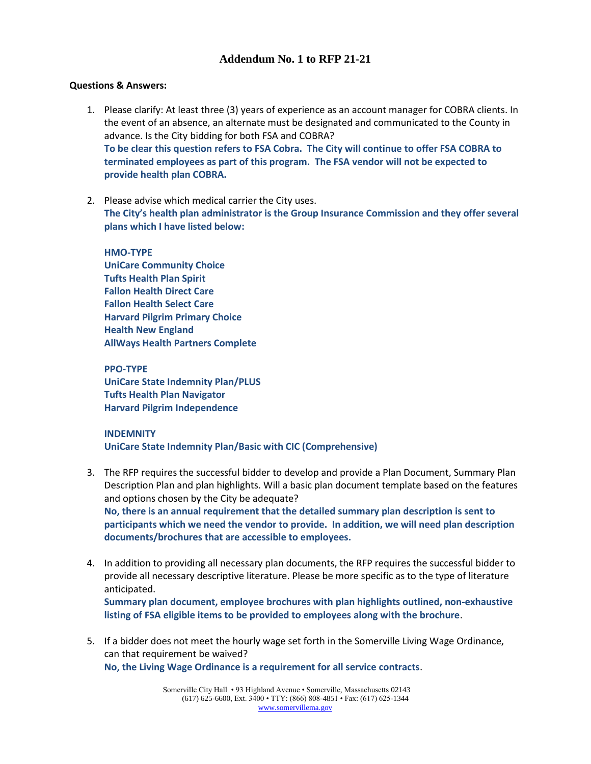#### **Questions & Answers:**

- 1. Please clarify: At least three (3) years of experience as an account manager for COBRA clients. In the event of an absence, an alternate must be designated and communicated to the County in advance. Is the City bidding for both FSA and COBRA? **To be clear this question refers to FSA Cobra. The City will continue to offer FSA COBRA to terminated employees as part of this program. The FSA vendor will not be expected to provide health plan COBRA.**
- 2. Please advise which medical carrier the City uses. **The City's health plan administrator is the Group Insurance Commission and they offer several plans which I have listed below:**

**HMO‐TYPE UniCare Community Choice Tufts Health Plan Spirit Fallon Health Direct Care Fallon Health Select Care Harvard Pilgrim Primary Choice Health New England AllWays Health Partners Complete**

**PPO‐TYPE UniCare State Indemnity Plan/PLUS Tufts Health Plan Navigator Harvard Pilgrim Independence** 

#### **INDEMNITY**

**UniCare State Indemnity Plan/Basic with CIC (Comprehensive)**

- 3. The RFP requires the successful bidder to develop and provide a Plan Document, Summary Plan Description Plan and plan highlights. Will a basic plan document template based on the features and options chosen by the City be adequate? **No, there is an annual requirement that the detailed summary plan description is sent to participants which we need the vendor to provide. In addition, we will need plan description documents/brochures that are accessible to employees.**
- 4. In addition to providing all necessary plan documents, the RFP requires the successful bidder to provide all necessary descriptive literature. Please be more specific as to the type of literature anticipated. **Summary plan document, employee brochures with plan highlights outlined, non-exhaustive**

**listing of FSA eligible items to be provided to employees along with the brochure**.

5. If a bidder does not meet the hourly wage set forth in the Somerville Living Wage Ordinance, can that requirement be waived? **No, the Living Wage Ordinance is a requirement for all service contracts**.

> Somerville City Hall • 93 Highland Avenue • Somerville, Massachusetts 02143 (617) 625-6600, Ext. 3400 • TTY: (866) 808-4851 • Fax: (617) 625-1344 [www.somervillema.gov](http://www.somervillema.gov/)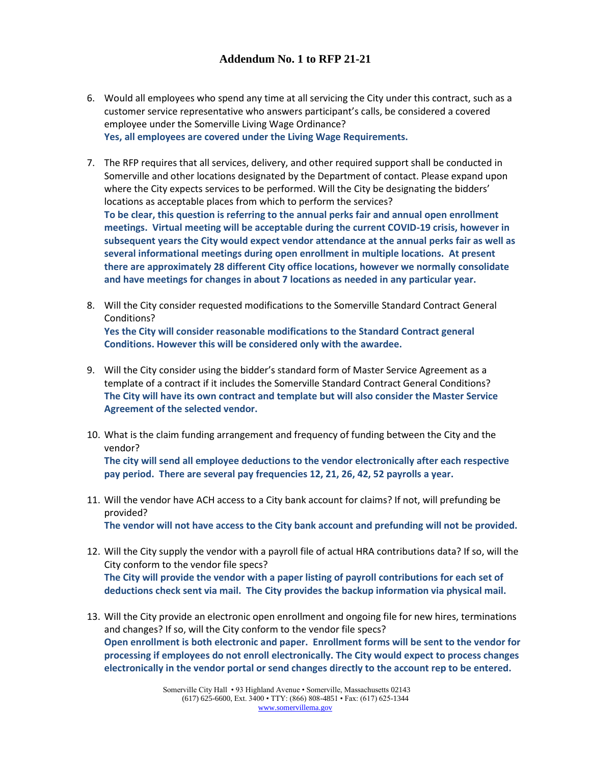- 6. Would all employees who spend any time at all servicing the City under this contract, such as a customer service representative who answers participant's calls, be considered a covered employee under the Somerville Living Wage Ordinance? **Yes, all employees are covered under the Living Wage Requirements.**
- 7. The RFP requires that all services, delivery, and other required support shall be conducted in Somerville and other locations designated by the Department of contact. Please expand upon where the City expects services to be performed. Will the City be designating the bidders' locations as acceptable places from which to perform the services? **To be clear, this question is referring to the annual perks fair and annual open enrollment meetings. Virtual meeting will be acceptable during the current COVID-19 crisis, however in subsequent years the City would expect vendor attendance at the annual perks fair as well as several informational meetings during open enrollment in multiple locations. At present there are approximately 28 different City office locations, however we normally consolidate**
- 8. Will the City consider requested modifications to the Somerville Standard Contract General Conditions? **Yes the City will consider reasonable modifications to the Standard Contract general Conditions. However this will be considered only with the awardee.**

**and have meetings for changes in about 7 locations as needed in any particular year.**

- 9. Will the City consider using the bidder's standard form of Master Service Agreement as a template of a contract if it includes the Somerville Standard Contract General Conditions? **The City will have its own contract and template but will also consider the Master Service Agreement of the selected vendor.**
- 10. What is the claim funding arrangement and frequency of funding between the City and the vendor?

**The city will send all employee deductions to the vendor electronically after each respective pay period. There are several pay frequencies 12, 21, 26, 42, 52 payrolls a year.**

11. Will the vendor have ACH access to a City bank account for claims? If not, will prefunding be provided?

**The vendor will not have access to the City bank account and prefunding will not be provided.**

- 12. Will the City supply the vendor with a payroll file of actual HRA contributions data? If so, will the City conform to the vendor file specs? **The City will provide the vendor with a paper listing of payroll contributions for each set of deductions check sent via mail. The City provides the backup information via physical mail.**
- 13. Will the City provide an electronic open enrollment and ongoing file for new hires, terminations and changes? If so, will the City conform to the vendor file specs? **Open enrollment is both electronic and paper. Enrollment forms will be sent to the vendor for processing if employees do not enroll electronically. The City would expect to process changes electronically in the vendor portal or send changes directly to the account rep to be entered.**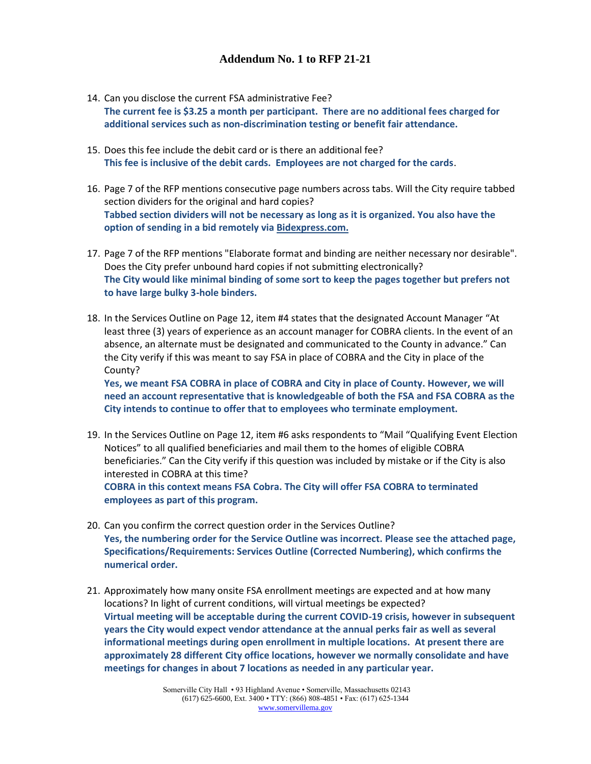- 14. Can you disclose the current FSA administrative Fee? **The current fee is \$3.25 a month per participant. There are no additional fees charged for additional services such as non-discrimination testing or benefit fair attendance.**
- 15. Does this fee include the debit card or is there an additional fee? **This fee is inclusive of the debit cards. Employees are not charged for the cards**.
- 16. Page 7 of the RFP mentions consecutive page numbers across tabs. Will the City require tabbed section dividers for the original and hard copies? **Tabbed section dividers will not be necessary as long as it is organized. You also have the option of sending in a bid remotely vi[a Bidexpress.com.](http://www.bidexpress.com/)**
- 17. Page 7 of the RFP mentions "Elaborate format and binding are neither necessary nor desirable". Does the City prefer unbound hard copies if not submitting electronically? **The City would like minimal binding of some sort to keep the pages together but prefers not to have large bulky 3-hole binders.**
- 18. In the Services Outline on Page 12, item #4 states that the designated Account Manager "At least three (3) years of experience as an account manager for COBRA clients. In the event of an absence, an alternate must be designated and communicated to the County in advance." Can the City verify if this was meant to say FSA in place of COBRA and the City in place of the County?

**Yes, we meant FSA COBRA in place of COBRA and City in place of County. However, we will need an account representative that is knowledgeable of both the FSA and FSA COBRA as the City intends to continue to offer that to employees who terminate employment.** 

- 19. In the Services Outline on Page 12, item #6 asks respondents to "Mail "Qualifying Event Election Notices" to all qualified beneficiaries and mail them to the homes of eligible COBRA beneficiaries." Can the City verify if this question was included by mistake or if the City is also interested in COBRA at this time? **COBRA in this context means FSA Cobra. The City will offer FSA COBRA to terminated employees as part of this program.**
- 20. Can you confirm the correct question order in the Services Outline? **Yes, the numbering order for the Service Outline was incorrect. Please see the attached page, Specifications/Requirements: Services Outline (Corrected Numbering), which confirms the numerical order.**
- 21. Approximately how many onsite FSA enrollment meetings are expected and at how many locations? In light of current conditions, will virtual meetings be expected? **Virtual meeting will be acceptable during the current COVID-19 crisis, however in subsequent years the City would expect vendor attendance at the annual perks fair as well as several informational meetings during open enrollment in multiple locations. At present there are approximately 28 different City office locations, however we normally consolidate and have meetings for changes in about 7 locations as needed in any particular year.**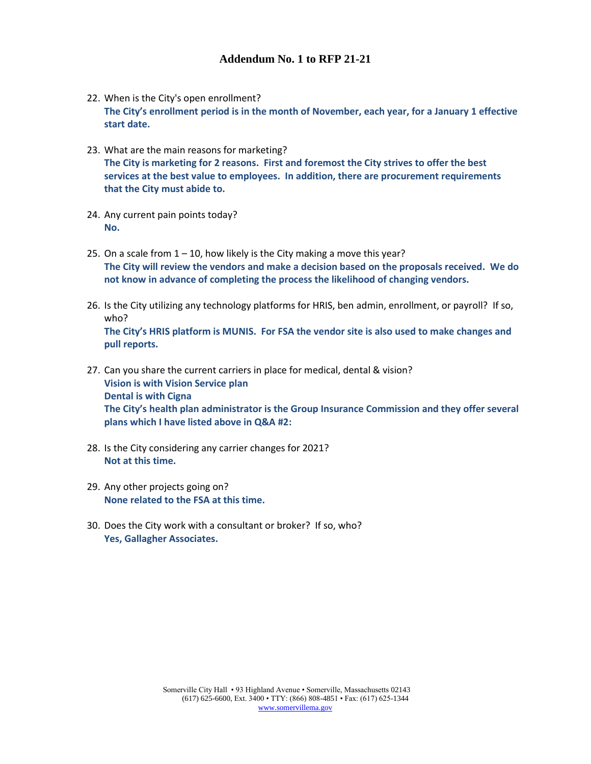- 22. When is the City's open enrollment? **The City's enrollment period is in the month of November, each year, for a January 1 effective start date.**
- 23. What are the main reasons for marketing? **The City is marketing for 2 reasons. First and foremost the City strives to offer the best services at the best value to employees. In addition, there are procurement requirements that the City must abide to.**
- 24. Any current pain points today? **No.**
- 25. On a scale from  $1 10$ , how likely is the City making a move this year? **The City will review the vendors and make a decision based on the proposals received. We do not know in advance of completing the process the likelihood of changing vendors.**
- 26. Is the City utilizing any technology platforms for HRIS, ben admin, enrollment, or payroll? If so, who? **The City's HRIS platform is MUNIS. For FSA the vendor site is also used to make changes and pull reports.**
- 27. Can you share the current carriers in place for medical, dental & vision? **Vision is with Vision Service plan Dental is with Cigna The City's health plan administrator is the Group Insurance Commission and they offer several plans which I have listed above in Q&A #2:**
- 28. Is the City considering any carrier changes for 2021? **Not at this time.**
- 29. Any other projects going on? **None related to the FSA at this time.**
- 30. Does the City work with a consultant or broker? If so, who? **Yes, Gallagher Associates.**